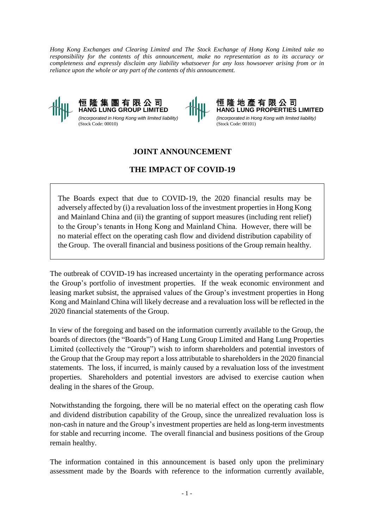*Hong Kong Exchanges and Clearing Limited and The Stock Exchange of Hong Kong Limited take no responsibility for the contents of this announcement, make no representation as to its accuracy or completeness and expressly disclaim any liability whatsoever for any loss howsoever arising from or in reliance upon the whole or any part of the contents of this announcement.* 



*(Incorporated in Hong Kong with limited liability)* (Stock Code: 00010)

恒 隆 地 產 有 限 公 司 **HANG LUNG PROPERTIES LIMITED** *(Incorporated in Hong Kong with limited liability)* (Stock Code: 00101)

## **JOINT ANNOUNCEMENT**

## **THE IMPACT OF COVID-19**

The Boards expect that due to COVID-19, the 2020 financial results may be adversely affected by (i) a revaluation loss of the investment properties in Hong Kong and Mainland China and (ii) the granting of support measures (including rent relief) to the Group's tenants in Hong Kong and Mainland China. However, there will be no material effect on the operating cash flow and dividend distribution capability of the Group. The overall financial and business positions of the Group remain healthy.

The outbreak of COVID-19 has increased uncertainty in the operating performance across the Group's portfolio of investment properties. If the weak economic environment and leasing market subsist, the appraised values of the Group's investment properties in Hong Kong and Mainland China will likely decrease and a revaluation loss will be reflected in the 2020 financial statements of the Group.

In view of the foregoing and based on the information currently available to the Group, the boards of directors (the "Boards") of Hang Lung Group Limited and Hang Lung Properties Limited (collectively the "Group") wish to inform shareholders and potential investors of the Group that the Group may report a loss attributable to shareholders in the 2020 financial statements. The loss, if incurred, is mainly caused by a revaluation loss of the investment properties. Shareholders and potential investors are advised to exercise caution when dealing in the shares of the Group.

Notwithstanding the forgoing, there will be no material effect on the operating cash flow and dividend distribution capability of the Group, since the unrealized revaluation loss is non-cash in nature and the Group's investment properties are held as long-term investments for stable and recurring income. The overall financial and business positions of the Group remain healthy.

The information contained in this announcement is based only upon the preliminary assessment made by the Boards with reference to the information currently available,